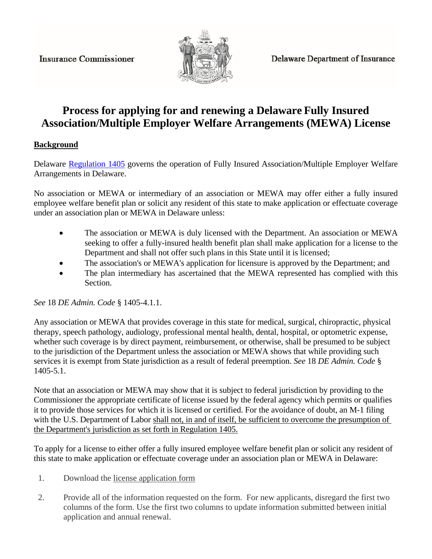**Insurance Commissioner** 



## **Process for applying for and renewing a Delaware Fully Insured Association/Multiple Employer Welfare Arrangements (MEWA) License**

## **Background**

Delaware [Regulation 1405](http://regulations.delaware.gov/AdminCode/title18/1400/1405.shtml#TopOfPage) governs the operation of Fully Insured Association/Multiple Employer Welfare Arrangements in Delaware.

No association or MEWA or intermediary of an association or MEWA may offer either a fully insured employee welfare benefit plan or solicit any resident of this state to make application or effectuate coverage under an association plan or MEWA in Delaware unless:

- The association or MEWA is duly licensed with the Department. An association or MEWA seeking to offer a fully-insured health benefit plan shall make application for a license to the Department and shall not offer such plans in this State until it is licensed;
- The association's or MEWA's application for licensure is approved by the Department; and
- The plan intermediary has ascertained that the MEWA represented has complied with this Section.

*See* 18 *DE Admin. Code* § 1405-4.1.1.

Any association or MEWA that provides coverage in this state for medical, surgical, chiropractic, physical therapy, speech pathology, audiology, professional mental health, dental, hospital, or optometric expense, whether such coverage is by direct payment, reimbursement, or otherwise, shall be presumed to be subject to the jurisdiction of the Department unless the association or MEWA shows that while providing such services it is exempt from State jurisdiction as a result of federal preemption. *See* 18 *DE Admin. Code* § 1405-5.1.

Note that an association or MEWA may show that it is subject to federal jurisdiction by providing to the Commissioner the appropriate certificate of license issued by the federal agency which permits or qualifies it to provide those services for which it is licensed or certified. For the avoidance of doubt, an M-1 filing with the U.S. Department of Labor shall not, in and of itself, be sufficient to overcome the presumption of the Department's jurisdiction as set forth in Regulation 1405.

To apply for a license to either offer a fully insured employee welfare benefit plan or solicit any resident of this state to make application or effectuate coverage under an association plan or MEWA in Delaware:

- 1. Download the license application form
- 2. Provide all of the information requested on the form. For new applicants, disregard the first two columns of the form. Use the first two columns to update information submitted between initial application and annual renewal.